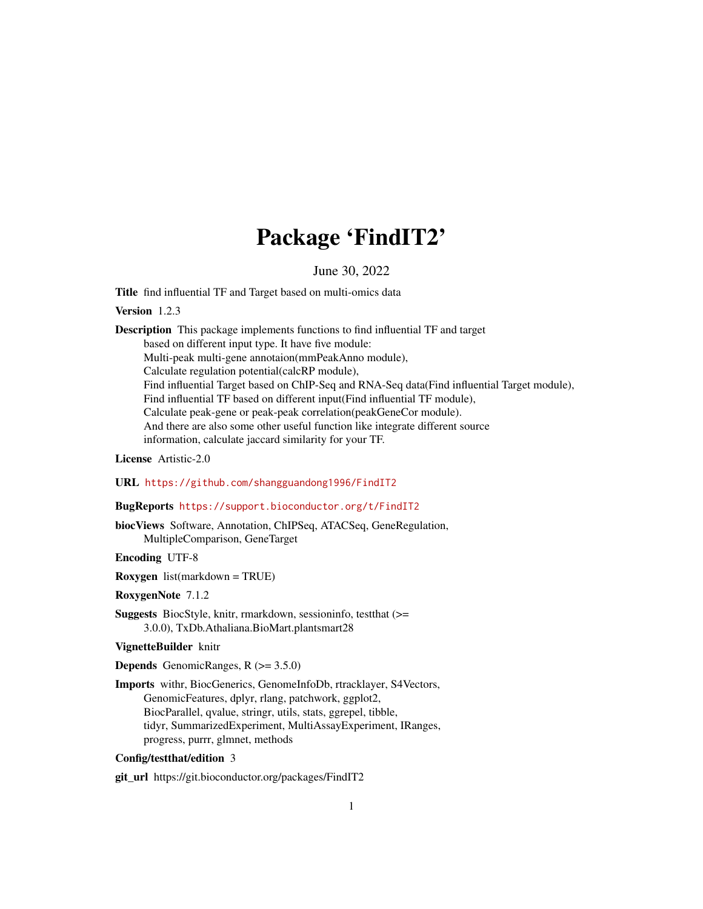# Package 'FindIT2'

June 30, 2022

Title find influential TF and Target based on multi-omics data

Version 1.2.3

Description This package implements functions to find influential TF and target based on different input type. It have five module: Multi-peak multi-gene annotaion(mmPeakAnno module), Calculate regulation potential(calcRP module), Find influential Target based on ChIP-Seq and RNA-Seq data(Find influential Target module), Find influential TF based on different input(Find influential TF module), Calculate peak-gene or peak-peak correlation(peakGeneCor module). And there are also some other useful function like integrate different source information, calculate jaccard similarity for your TF.

License Artistic-2.0

URL <https://github.com/shangguandong1996/FindIT2>

# BugReports <https://support.bioconductor.org/t/FindIT2>

biocViews Software, Annotation, ChIPSeq, ATACSeq, GeneRegulation, MultipleComparison, GeneTarget

Encoding UTF-8

Roxygen list(markdown = TRUE)

RoxygenNote 7.1.2

Suggests BiocStyle, knitr, rmarkdown, sessioninfo, testthat (>= 3.0.0), TxDb.Athaliana.BioMart.plantsmart28

#### VignetteBuilder knitr

**Depends** GenomicRanges,  $R$  ( $>= 3.5.0$ )

Imports withr, BiocGenerics, GenomeInfoDb, rtracklayer, S4Vectors, GenomicFeatures, dplyr, rlang, patchwork, ggplot2, BiocParallel, qvalue, stringr, utils, stats, ggrepel, tibble, tidyr, SummarizedExperiment, MultiAssayExperiment, IRanges, progress, purrr, glmnet, methods

# Config/testthat/edition 3

git\_url https://git.bioconductor.org/packages/FindIT2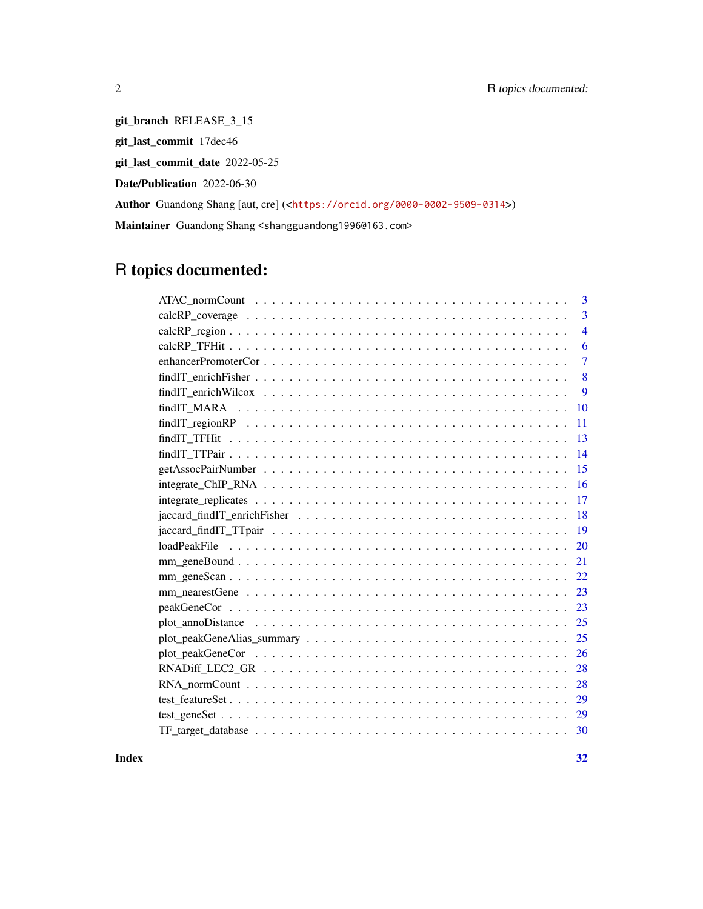git\_branch RELEASE\_3\_15 git\_last\_commit 17dec46

git\_last\_commit\_date 2022-05-25

Date/Publication 2022-06-30

Author Guandong Shang [aut, cre] (<<https://orcid.org/0000-0002-9509-0314>>)

Maintainer Guandong Shang <shangguandong1996@163.com>

# R topics documented:

| 3              |
|----------------|
| 3              |
| $\overline{4}$ |
| 6              |
| $\overline{7}$ |
| 8              |
| 9              |
| 10             |
| 11             |
| 13             |
| 14             |
| 15             |
| 16             |
| 17             |
| 18             |
| 19             |
| 20             |
| 21             |
| 22             |
| 23             |
| 23             |
| 25             |
| 25             |
|                |
| 26             |
| 28             |
| 28             |
| 29             |
| 29             |
| 30             |

**Index** [32](#page-31-0)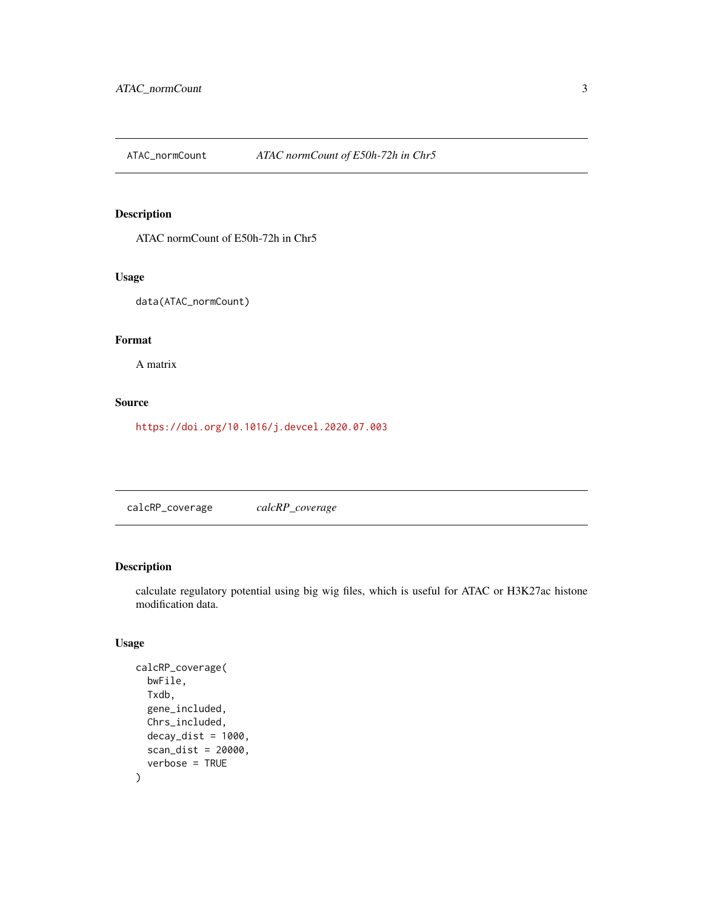<span id="page-2-0"></span>ATAC\_normCount *ATAC normCount of E50h-72h in Chr5*

# Description

ATAC normCount of E50h-72h in Chr5

# Usage

data(ATAC\_normCount)

# Format

A matrix

#### Source

<https://doi.org/10.1016/j.devcel.2020.07.003>

calcRP\_coverage *calcRP\_coverage*

# Description

calculate regulatory potential using big wig files, which is useful for ATAC or H3K27ac histone modification data.

# Usage

```
calcRP_coverage(
  bwFile,
  Txdb,
  gene_included,
  Chrs_included,
  decay\_dist = 1000,scan_dist = 20000,
  verbose = TRUE
\mathcal{E}
```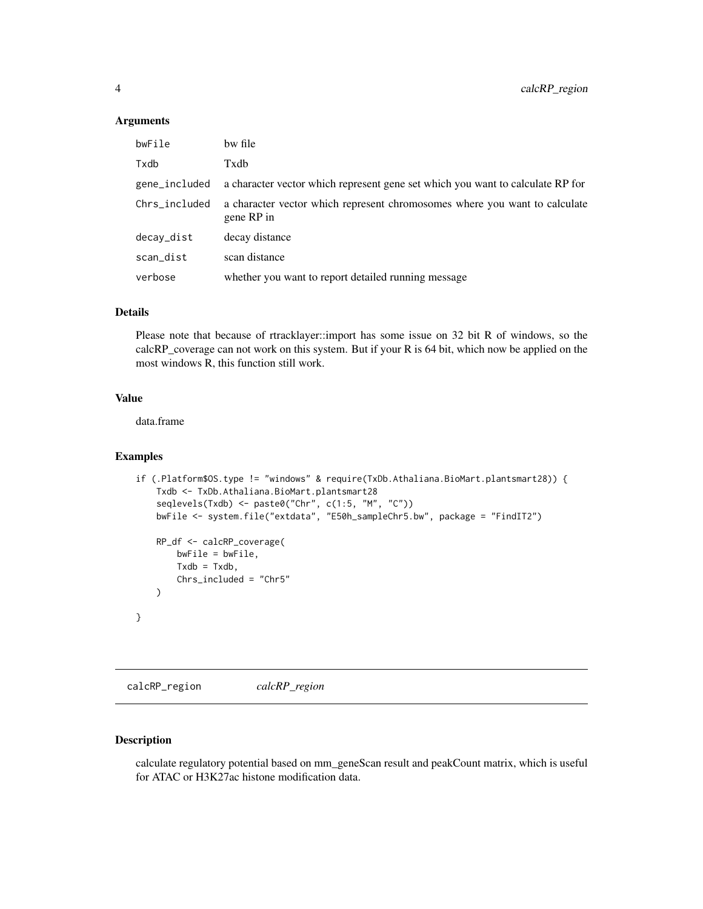#### <span id="page-3-0"></span>Arguments

| bwFile        | bw file                                                                                  |
|---------------|------------------------------------------------------------------------------------------|
| Txdb          | Txdb                                                                                     |
| gene_included | a character vector which represent gene set which you want to calculate RP for           |
| Chrs_included | a character vector which represent chromosomes where you want to calculate<br>gene RP in |
| decay_dist    | decay distance                                                                           |
| scan_dist     | scan distance                                                                            |
| verbose       | whether you want to report detailed running message                                      |

# Details

Please note that because of rtracklayer::import has some issue on 32 bit R of windows, so the calcRP\_coverage can not work on this system. But if your R is 64 bit, which now be applied on the most windows R, this function still work.

# Value

data.frame

#### Examples

```
if (.Platform$OS.type != "windows" & require(TxDb.Athaliana.BioMart.plantsmart28)) {
    Txdb <- TxDb.Athaliana.BioMart.plantsmart28
    seqlevels(Txdb) <- paste0("Chr", c(1:5, "M", "C"))
    bwFile <- system.file("extdata", "E50h_sampleChr5.bw", package = "FindIT2")
    RP_df <- calcRP_coverage(
        bwFile = bwFile,
        T \times db = T \times db,
        Chrs_included = "Chr5"
   \lambda}
```
calcRP\_region *calcRP\_region*

# Description

calculate regulatory potential based on mm\_geneScan result and peakCount matrix, which is useful for ATAC or H3K27ac histone modification data.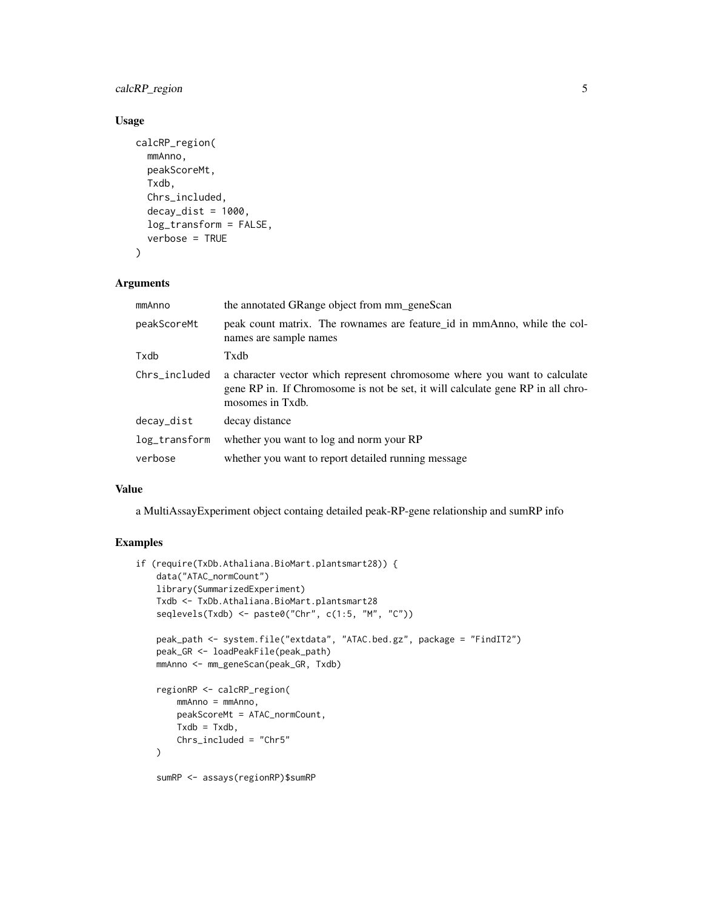# calcRP\_region 5

# Usage

```
calcRP_region(
  mmAnno,
  peakScoreMt,
  Txdb,
  Chrs_included,
  decay\_dist = 1000,
  log_transform = FALSE,
  verbose = TRUE
)
```
# Arguments

| mmAnno        | the annotated GRange object from mm_geneScan                                                                                                                                     |
|---------------|----------------------------------------------------------------------------------------------------------------------------------------------------------------------------------|
| peakScoreMt   | peak count matrix. The rownames are feature id in mmAnno, while the col-<br>names are sample names                                                                               |
| Txdb          | Txdb                                                                                                                                                                             |
| Chrs_included | a character vector which represent chromosome where you want to calculate<br>gene RP in. If Chromosome is not be set, it will calculate gene RP in all chro-<br>mosomes in Txdb. |
| decay_dist    | decay distance                                                                                                                                                                   |
| log_transform | whether you want to log and norm your RP                                                                                                                                         |
| verbose       | whether you want to report detailed running message                                                                                                                              |

#### Value

a MultiAssayExperiment object containg detailed peak-RP-gene relationship and sumRP info

# Examples

```
if (require(TxDb.Athaliana.BioMart.plantsmart28)) {
   data("ATAC_normCount")
   library(SummarizedExperiment)
   Txdb <- TxDb.Athaliana.BioMart.plantsmart28
    seqlevels(Txdb) <- paste0("Chr", c(1:5, "M", "C"))
   peak_path <- system.file("extdata", "ATAC.bed.gz", package = "FindIT2")
   peak_GR <- loadPeakFile(peak_path)
   mmAnno <- mm_geneScan(peak_GR, Txdb)
    regionRP <- calcRP_region(
       mmAnno = mmAnno,
       peakScoreMt = ATAC_normCount,
       Txdb = Txdb,
       Chrs_included = "Chr5"
   )
   sumRP <- assays(regionRP)$sumRP
```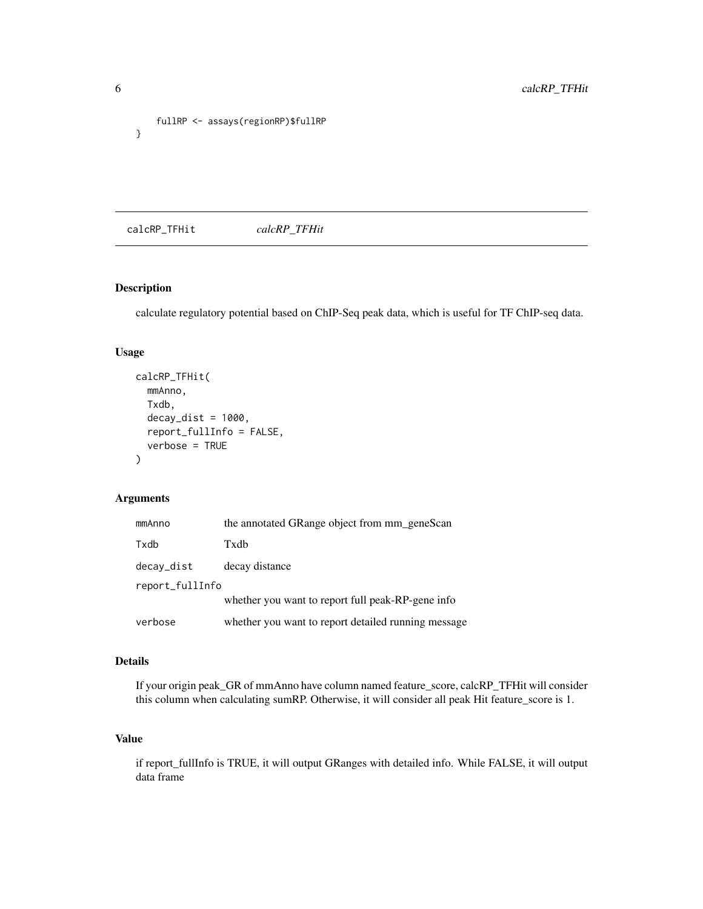```
fullRP <- assays(regionRP)$fullRP
}
```
calcRP\_TFHit *calcRP\_TFHit*

# Description

calculate regulatory potential based on ChIP-Seq peak data, which is useful for TF ChIP-seq data.

# Usage

```
calcRP_TFHit(
 mmAnno,
 Txdb,
  decay\_dist = 1000,report_fullInfo = FALSE,
  verbose = TRUE
)
```
# Arguments

| mmAnno          | the annotated GRange object from mm_geneScan        |
|-----------------|-----------------------------------------------------|
| Txdb            | Txdb                                                |
| decay_dist      | decay distance                                      |
| report_fullInfo |                                                     |
|                 | whether you want to report full peak-RP-gene info   |
| verbose         | whether you want to report detailed running message |

### Details

If your origin peak\_GR of mmAnno have column named feature\_score, calcRP\_TFHit will consider this column when calculating sumRP. Otherwise, it will consider all peak Hit feature\_score is 1.

# Value

if report\_fullInfo is TRUE, it will output GRanges with detailed info. While FALSE, it will output data frame

<span id="page-5-0"></span>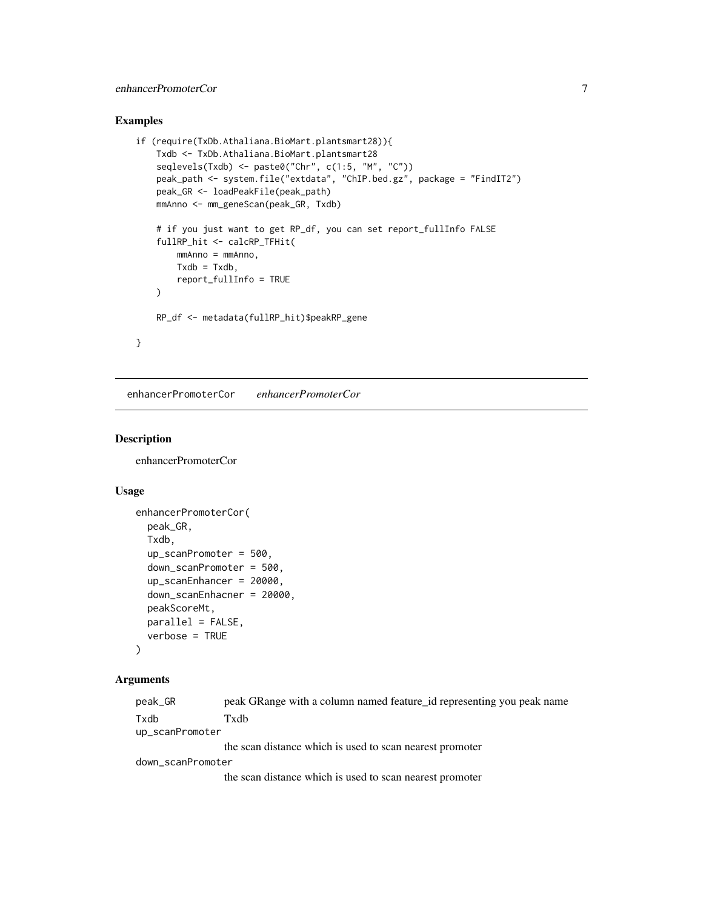# <span id="page-6-0"></span>enhancerPromoterCor 7

# Examples

```
if (require(TxDb.Athaliana.BioMart.plantsmart28)){
    Txdb <- TxDb.Athaliana.BioMart.plantsmart28
    seqlevels(Txdb) <- paste0("Chr", c(1:5, "M", "C"))
    peak_path <- system.file("extdata", "ChIP.bed.gz", package = "FindIT2")
    peak_GR <- loadPeakFile(peak_path)
    mmAnno <- mm_geneScan(peak_GR, Txdb)
    # if you just want to get RP_df, you can set report_fullInfo FALSE
    fullRP_hit <- calcRP_TFHit(
        mmAnno = mmAnno,
        T \times db = T \times db,
        report_fullInfo = TRUE
    \lambdaRP_df <- metadata(fullRP_hit)$peakRP_gene
}
```
enhancerPromoterCor *enhancerPromoterCor*

#### Description

enhancerPromoterCor

# Usage

```
enhancerPromoterCor(
 peak_GR,
 Txdb,
  up_scanPromoter = 500,
  down_scanPromoter = 500,
  up_scanEnhancer = 20000,
  down_scanEnhacner = 20000,
 peakScoreMt,
 parallel = FALSE,
  verbose = TRUE
)
```
#### Arguments

| peak_GR           | peak GRange with a column named feature id representing you peak name |
|-------------------|-----------------------------------------------------------------------|
| Txdb              | Txdb                                                                  |
| up_scanPromoter   |                                                                       |
|                   | the scan distance which is used to scan nearest promoter              |
| down_scanPromoter |                                                                       |
|                   | the scan distance which is used to scan nearest promoter              |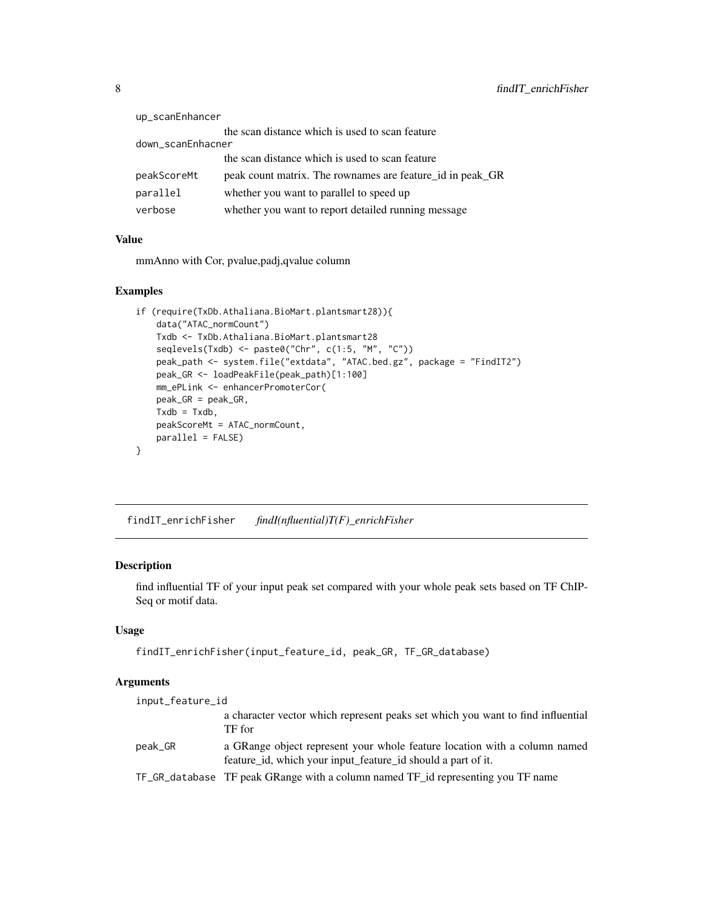<span id="page-7-0"></span>

| up_scanEnhancer   |                                                           |
|-------------------|-----------------------------------------------------------|
|                   | the scan distance which is used to scan feature           |
| down_scanEnhacner |                                                           |
|                   | the scan distance which is used to scan feature           |
| peakScoreMt       | peak count matrix. The rownames are feature id in peak GR |
| parallel          | whether you want to parallel to speed up                  |
| verbose           | whether you want to report detailed running message       |

# Value

mmAnno with Cor, pvalue,padj,qvalue column

# Examples

```
if (require(TxDb.Athaliana.BioMart.plantsmart28)){
    data("ATAC_normCount")
   Txdb <- TxDb.Athaliana.BioMart.plantsmart28
   seqlevels(Txdb) <- paste0("Chr", c(1:5, "M", "C"))
   peak_path <- system.file("extdata", "ATAC.bed.gz", package = "FindIT2")
   peak_GR <- loadPeakFile(peak_path)[1:100]
   mm_ePLink <- enhancerPromoterCor(
   peak_GR = peak_GR,
   T \times db = T \times db.
   peakScoreMt = ATAC_normCount,
   parallel = FALSE)
}
```
findIT\_enrichFisher *findI(nfluential)T(F)\_enrichFisher*

# Description

find influential TF of your input peak set compared with your whole peak sets based on TF ChIP-Seq or motif data.

# Usage

findIT\_enrichFisher(input\_feature\_id, peak\_GR, TF\_GR\_database)

# Arguments

| input_feature_id |                                                                                                                                           |
|------------------|-------------------------------------------------------------------------------------------------------------------------------------------|
|                  | a character vector which represent peaks set which you want to find influential<br>TF for                                                 |
| peak_GR          | a GRange object represent your whole feature location with a column named<br>feature id, which your input feature id should a part of it. |
|                  | TF_GR_database TF peak GRange with a column named TF_id representing you TF name                                                          |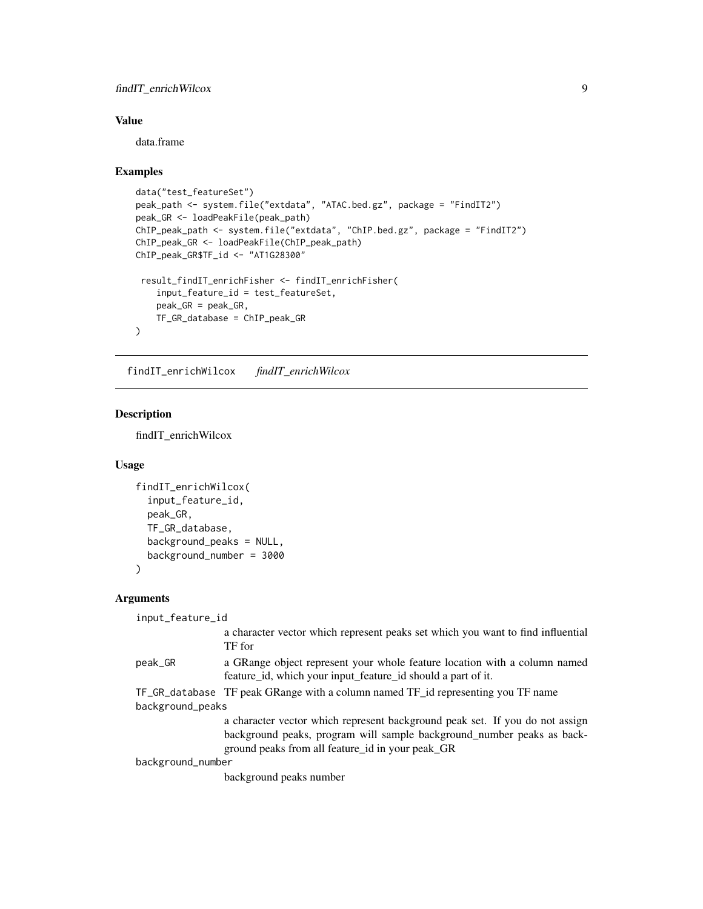# <span id="page-8-0"></span>findIT\_enrichWilcox 9

# Value

data.frame

# Examples

```
data("test_featureSet")
peak_path <- system.file("extdata", "ATAC.bed.gz", package = "FindIT2")
peak_GR <- loadPeakFile(peak_path)
ChIP_peak_path <- system.file("extdata", "ChIP.bed.gz", package = "FindIT2")
ChIP_peak_GR <- loadPeakFile(ChIP_peak_path)
ChIP_peak_GR$TF_id <- "AT1G28300"
 result_findIT_enrichFisher <- findIT_enrichFisher(
   input_feature_id = test_featureSet,
   peak_GR = peak_GR,
   TF_GR_database = ChIP_peak_GR
)
```
findIT\_enrichWilcox *findIT\_enrichWilcox*

# Description

findIT\_enrichWilcox

#### Usage

```
findIT_enrichWilcox(
  input_feature_id,
 peak_GR,
 TF_GR_database,
 background_peaks = NULL,
 background_number = 3000
)
```

```
Arguments
```

| input_feature_id  |                                                                                                                                                                                                            |
|-------------------|------------------------------------------------------------------------------------------------------------------------------------------------------------------------------------------------------------|
|                   | a character vector which represent peaks set which you want to find influential<br>TF for                                                                                                                  |
| peak_GR           | a GRange object represent your whole feature location with a column named<br>feature id, which your input feature id should a part of it.                                                                  |
|                   | TF_GR_database TF peak GRange with a column named TF_id representing you TF name                                                                                                                           |
| background_peaks  |                                                                                                                                                                                                            |
|                   | a character vector which represent background peak set. If you do not assign<br>background peaks, program will sample background number peaks as back-<br>ground peaks from all feature id in your peak GR |
| background_number |                                                                                                                                                                                                            |
|                   | background peaks number                                                                                                                                                                                    |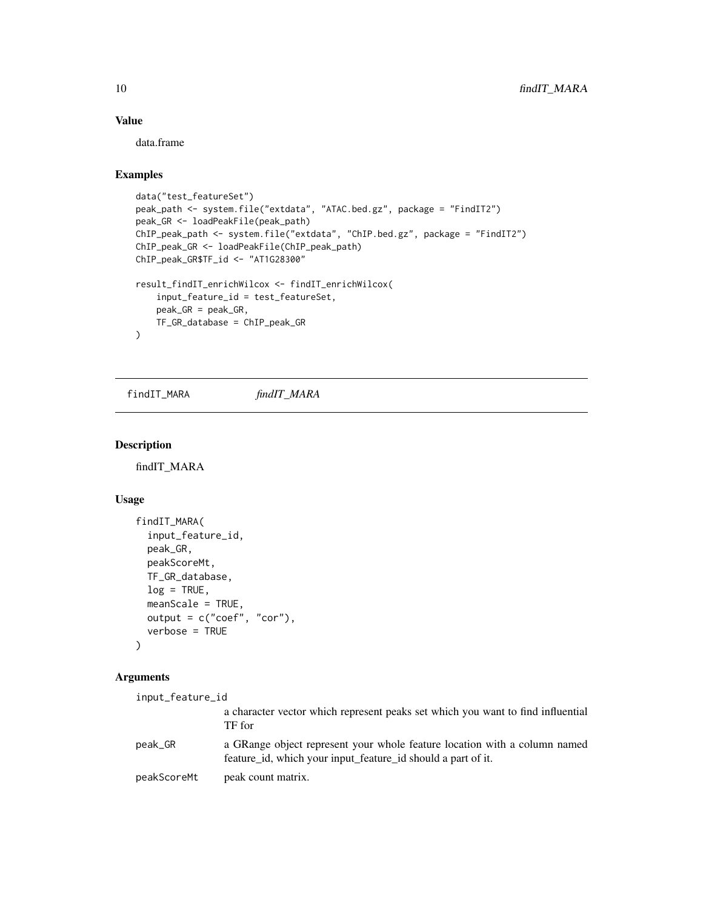### Value

data.frame

#### Examples

```
data("test_featureSet")
peak_path <- system.file("extdata", "ATAC.bed.gz", package = "FindIT2")
peak_GR <- loadPeakFile(peak_path)
ChIP_peak_path <- system.file("extdata", "ChIP.bed.gz", package = "FindIT2")
ChIP_peak_GR <- loadPeakFile(ChIP_peak_path)
ChIP_peak_GR$TF_id <- "AT1G28300"
result_findIT_enrichWilcox <- findIT_enrichWilcox(
    input_feature_id = test_featureSet,
    peak_GR = peak_GR,
   TF_GR_database = ChIP_peak_GR
)
```
findIT\_MARA *findIT\_MARA*

#### Description

findIT\_MARA

#### Usage

```
findIT_MARA(
  input_feature_id,
 peak_GR,
 peakScoreMt,
 TF_GR_database,
  log = TRUE,
 meanScale = TRUE,
  output = c("coef", "cor"),
  verbose = TRUE
)
```
# Arguments input\_feature\_id a character vector which represent peaks set which you want to find influential TF for peak\_GR a GRange object represent your whole feature location with a column named feature\_id, which your input\_feature\_id should a part of it. peakScoreMt peak count matrix.

<span id="page-9-0"></span>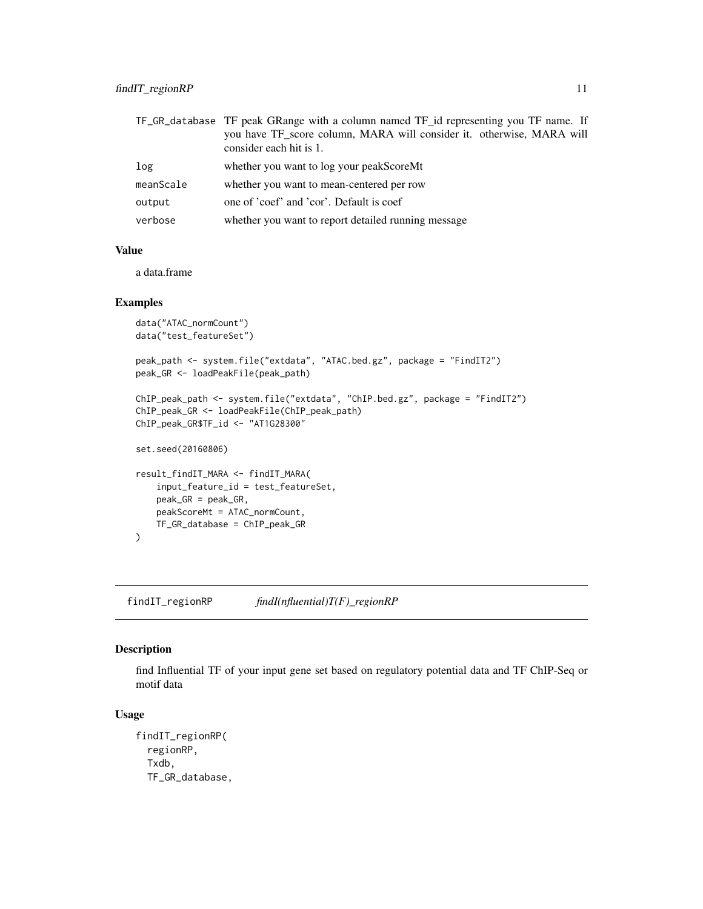<span id="page-10-0"></span>

|           | TF_GR_database TF peak GRange with a column named TF_id representing you TF name. If |
|-----------|--------------------------------------------------------------------------------------|
|           | you have TF_score column, MARA will consider it. otherwise, MARA will                |
|           | consider each hit is 1.                                                              |
| log       | whether you want to log your peakScoreMt                                             |
| meanScale | whether you want to mean-centered per row                                            |
| output    | one of 'coef' and 'cor'. Default is coef                                             |
| verbose   | whether you want to report detailed running message                                  |

#### Value

a data.frame

# Examples

```
data("ATAC_normCount")
data("test_featureSet")
peak_path <- system.file("extdata", "ATAC.bed.gz", package = "FindIT2")
peak_GR <- loadPeakFile(peak_path)
ChIP_peak_path <- system.file("extdata", "ChIP.bed.gz", package = "FindIT2")
ChIP_peak_GR <- loadPeakFile(ChIP_peak_path)
ChIP_peak_GR$TF_id <- "AT1G28300"
set.seed(20160806)
result_findIT_MARA <- findIT_MARA(
   input_feature_id = test_featureSet,
   peak_GR = peak_GR,
   peakScoreMt = ATAC_normCount,
   TF_GR_database = ChIP_peak_GR
)
```
findIT\_regionRP *findI(nfluential)T(F)\_regionRP*

#### Description

find Influential TF of your input gene set based on regulatory potential data and TF ChIP-Seq or motif data

#### Usage

```
findIT_regionRP(
  regionRP,
  Txdb,
  TF_GR_database,
```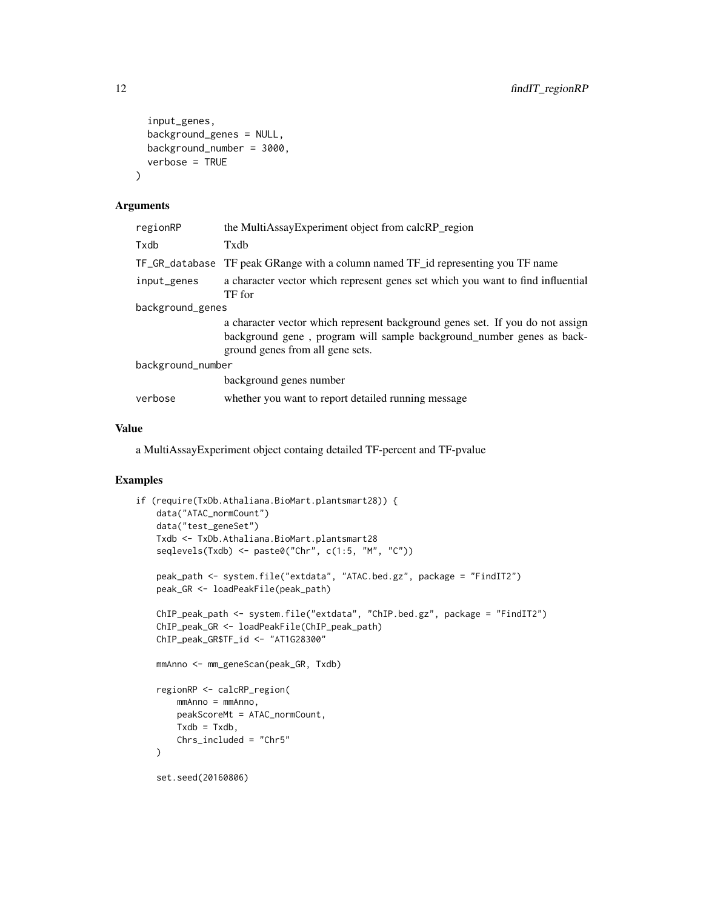```
input_genes,
  background_genes = NULL,
  background_number = 3000,
  verbose = TRUE
\lambda
```
#### Arguments

| the MultiAssayExperiment object from calcRP_region                                                                                                                                         |  |
|--------------------------------------------------------------------------------------------------------------------------------------------------------------------------------------------|--|
| Txdb                                                                                                                                                                                       |  |
| TF peak GRange with a column named TF id representing you TF name<br>TF_GR_database                                                                                                        |  |
| a character vector which represent genes set which you want to find influential<br>TF for                                                                                                  |  |
| background_genes                                                                                                                                                                           |  |
| a character vector which represent background genes set. If you do not assign<br>background gene, program will sample background number genes as back-<br>ground genes from all gene sets. |  |
| background_number                                                                                                                                                                          |  |
| background genes number                                                                                                                                                                    |  |
| whether you want to report detailed running message                                                                                                                                        |  |
|                                                                                                                                                                                            |  |

# Value

a MultiAssayExperiment object containg detailed TF-percent and TF-pvalue

# Examples

```
if (require(TxDb.Athaliana.BioMart.plantsmart28)) {
   data("ATAC_normCount")
   data("test_geneSet")
   Txdb <- TxDb.Athaliana.BioMart.plantsmart28
    seqlevels(Txdb) <- paste0("Chr", c(1:5, "M", "C"))
   peak_path <- system.file("extdata", "ATAC.bed.gz", package = "FindIT2")
   peak_GR <- loadPeakFile(peak_path)
   ChIP_peak_path <- system.file("extdata", "ChIP.bed.gz", package = "FindIT2")
   ChIP_peak_GR <- loadPeakFile(ChIP_peak_path)
   ChIP_peak_GR$TF_id <- "AT1G28300"
   mmAnno <- mm_geneScan(peak_GR, Txdb)
    regionRP <- calcRP_region(
       mmAnno = mmAnno,
       peakScoreMt = ATAC_normCount,
       Txdb = Txdb,
       Chrs_included = "Chr5"
   )
    set.seed(20160806)
```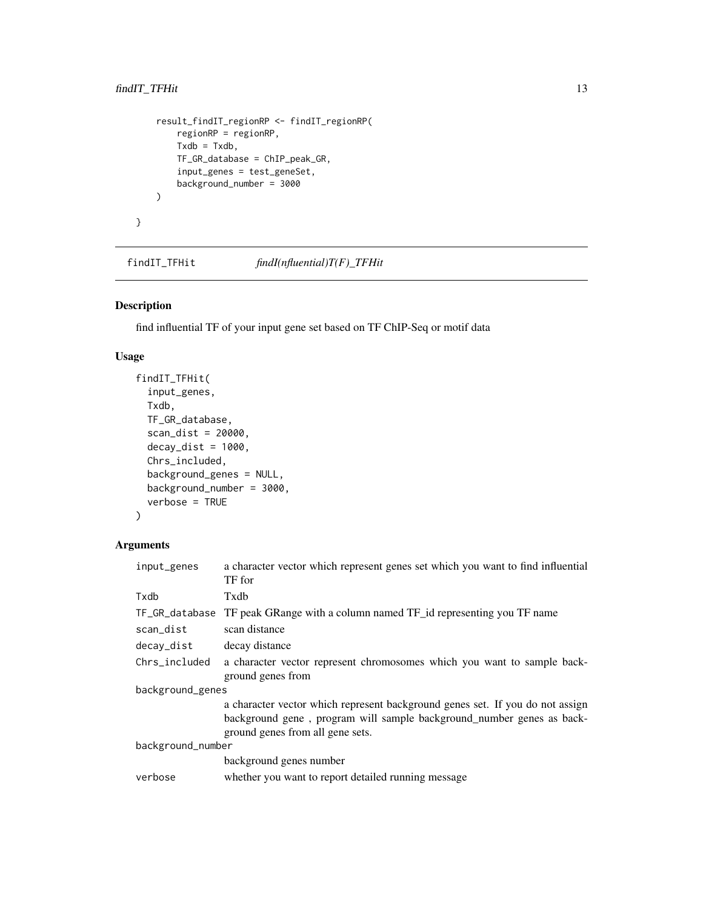```
result_findIT_regionRP <- findIT_regionRP(
    regionRP = regionRP,
    Txdb = Txdb,TF_GR_database = ChIP_peak_GR,
    input_genes = test_geneSet,
    background_number = 3000
)
```
findIT\_TFHit *findI(nfluential)T(F)\_TFHit*

# Description

}

find influential TF of your input gene set based on TF ChIP-Seq or motif data

# Usage

```
findIT_TFHit(
  input_genes,
  Txdb,
  TF_GR_database,
  scan_dist = 20000,
  decay\_dist = 1000,Chrs_included,
  background_genes = NULL,
 background_number = 3000,
  verbose = TRUE
)
```
# Arguments

| input_genes       | a character vector which represent genes set which you want to find influential<br>TF for                                                                                                  |  |
|-------------------|--------------------------------------------------------------------------------------------------------------------------------------------------------------------------------------------|--|
| Txdb              | Txdb                                                                                                                                                                                       |  |
| TF_GR_database    | TF peak GRange with a column named TF_id representing you TF name                                                                                                                          |  |
| scan_dist         | scan distance                                                                                                                                                                              |  |
| decay_dist        | decay distance                                                                                                                                                                             |  |
| Chrs included     | a character vector represent chromosomes which you want to sample back-<br>ground genes from                                                                                               |  |
| background_genes  |                                                                                                                                                                                            |  |
|                   | a character vector which represent background genes set. If you do not assign<br>background gene, program will sample background_number genes as back-<br>ground genes from all gene sets. |  |
| background_number |                                                                                                                                                                                            |  |
|                   | background genes number                                                                                                                                                                    |  |
| verbose           | whether you want to report detailed running message                                                                                                                                        |  |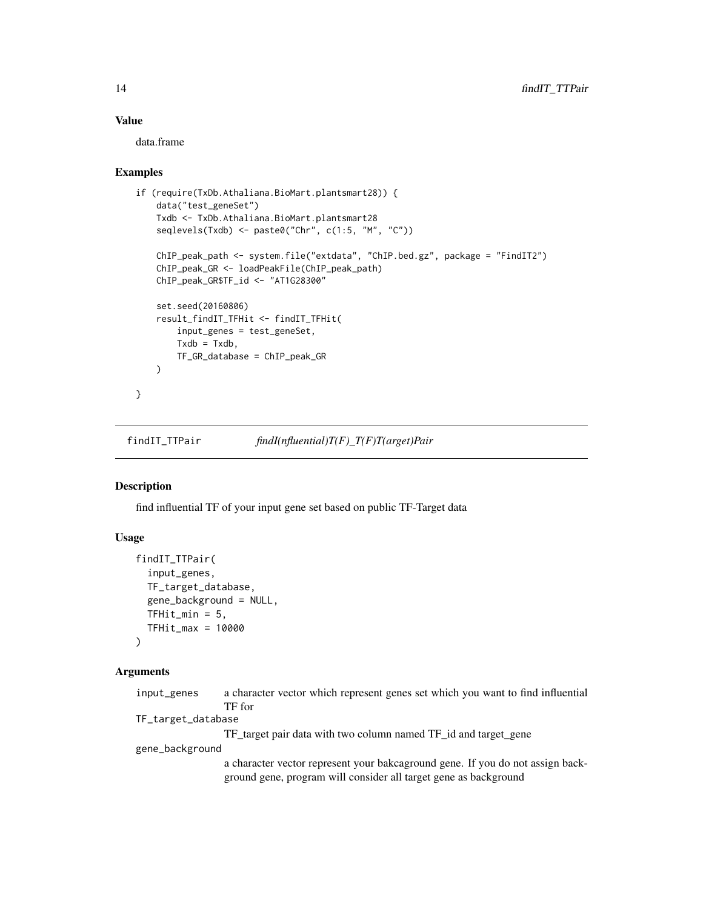# Value

data.frame

#### Examples

```
if (require(TxDb.Athaliana.BioMart.plantsmart28)) {
   data("test_geneSet")
   Txdb <- TxDb.Athaliana.BioMart.plantsmart28
   seqlevels(Txdb) <- paste0("Chr", c(1:5, "M", "C"))
   ChIP_peak_path <- system.file("extdata", "ChIP.bed.gz", package = "FindIT2")
   ChIP_peak_GR <- loadPeakFile(ChIP_peak_path)
   ChIP_peak_GR$TF_id <- "AT1G28300"
   set.seed(20160806)
   result_findIT_TFHit <- findIT_TFHit(
       input_genes = test_geneSet,
       Txdb = Txdb,TF_GR_database = ChIP_peak_GR
   \lambda}
```
findIT\_TTPair *findI(nfluential)T(F)\_T(F)T(arget)Pair*

# Description

find influential TF of your input gene set based on public TF-Target data

# Usage

```
findIT_TTPair(
  input_genes,
 TF_target_database,
  gene_background = NULL,
 TFHit_min = 5,
 TFHit_max = 10000
)
```
#### Arguments

| input_genes        | a character vector which represent genes set which you want to find influential                                                                     |
|--------------------|-----------------------------------------------------------------------------------------------------------------------------------------------------|
|                    | TF for                                                                                                                                              |
| TF_target_database |                                                                                                                                                     |
|                    | TF target pair data with two column named TF id and target gene                                                                                     |
| gene_background    |                                                                                                                                                     |
|                    | a character vector represent your bakes around gene. If you do not assign back-<br>ground gene, program will consider all target gene as background |

<span id="page-13-0"></span>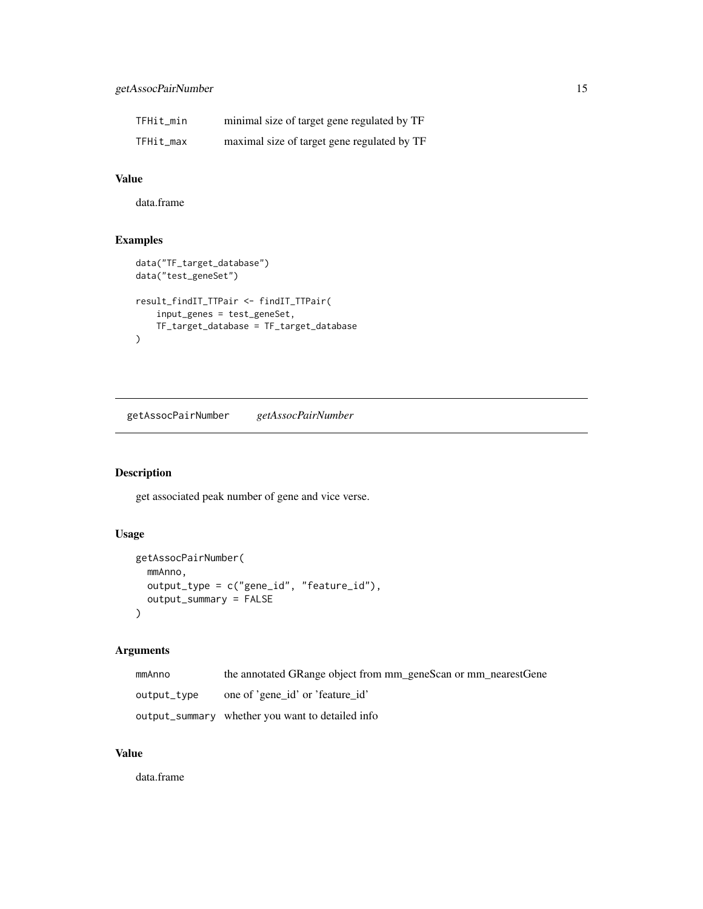# <span id="page-14-0"></span>getAssocPairNumber 15

| TFHit min | minimal size of target gene regulated by TF |
|-----------|---------------------------------------------|
| TFHit_max | maximal size of target gene regulated by TF |

# Value

data.frame

# Examples

```
data("TF_target_database")
data("test_geneSet")
result_findIT_TTPair <- findIT_TTPair(
   input_genes = test_geneSet,
   TF_target_database = TF_target_database
)
```
getAssocPairNumber *getAssocPairNumber*

# Description

get associated peak number of gene and vice verse.

# Usage

```
getAssocPairNumber(
 mmAnno,
 output_type = c("gene_id", "feature_id"),
 output_summary = FALSE
)
```
# Arguments

| mmAnno      | the annotated GRange object from mm_geneScan or mm_nearestGene |
|-------------|----------------------------------------------------------------|
| output_type | one of 'gene id' or 'feature id'                               |
|             | output_summary whether you want to detailed info               |

# Value

data.frame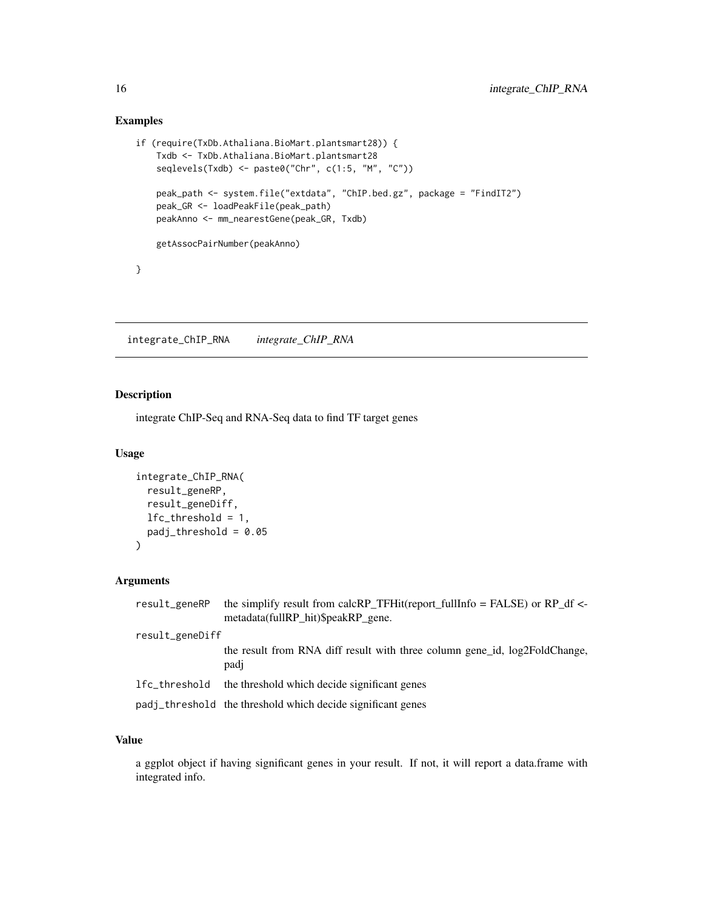# Examples

```
if (require(TxDb.Athaliana.BioMart.plantsmart28)) {
   Txdb <- TxDb.Athaliana.BioMart.plantsmart28
    seqlevels(Txdb) <- paste0("Chr", c(1:5, "M", "C"))
    peak_path <- system.file("extdata", "ChIP.bed.gz", package = "FindIT2")
    peak_GR <- loadPeakFile(peak_path)
   peakAnno <- mm_nearestGene(peak_GR, Txdb)
   getAssocPairNumber(peakAnno)
}
```
integrate\_ChIP\_RNA *integrate\_ChIP\_RNA*

# Description

integrate ChIP-Seq and RNA-Seq data to find TF target genes

# Usage

```
integrate_ChIP_RNA(
 result_geneRP,
  result_geneDiff,
 lfc_threshold = 1,
 padj_threshold = 0.05
)
```
# Arguments

| result_geneRP   | the simplify result from calcRP_TFHit(report_fullInfo = FALSE) or RP_df <-<br>metadata(fullRP_hit)\$peakRP_gene. |
|-----------------|------------------------------------------------------------------------------------------------------------------|
| result_geneDiff |                                                                                                                  |
|                 | the result from RNA diff result with three column gene id, log2FoldChange,<br>padj                               |
| lfc_threshold   | the threshold which decide significant genes                                                                     |
|                 | padj_threshold the threshold which decide significant genes                                                      |

# Value

a ggplot object if having significant genes in your result. If not, it will report a data.frame with integrated info.

<span id="page-15-0"></span>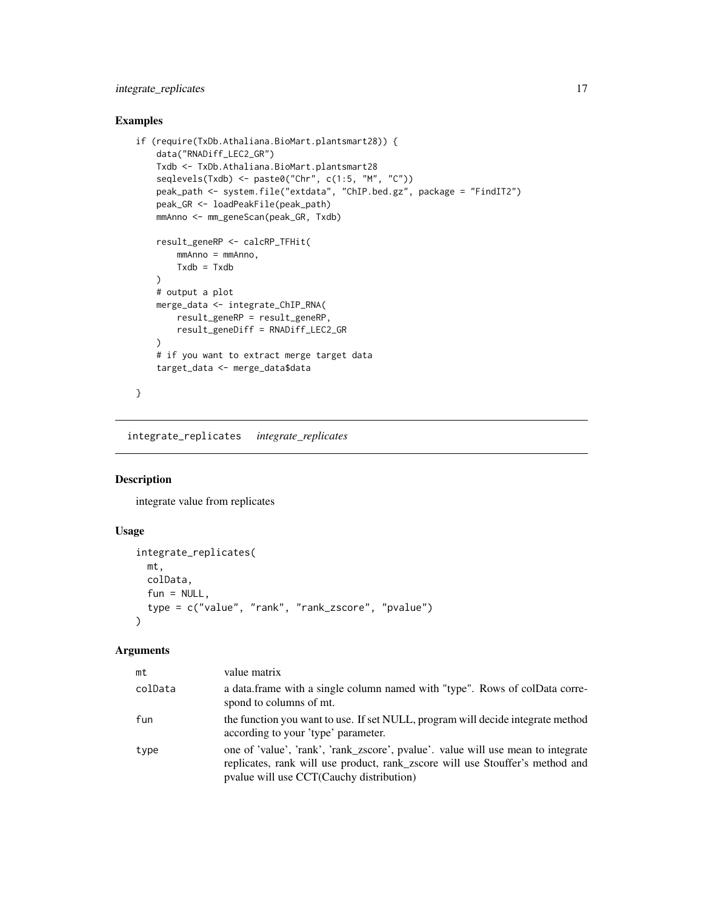# <span id="page-16-0"></span>integrate\_replicates 17

# Examples

```
if (require(TxDb.Athaliana.BioMart.plantsmart28)) {
    data("RNADiff_LEC2_GR")
    Txdb <- TxDb.Athaliana.BioMart.plantsmart28
    seqlevels(Txdb) <- paste0("Chr", c(1:5, "M", "C"))
   peak_path <- system.file("extdata", "ChIP.bed.gz", package = "FindIT2")
   peak_GR <- loadPeakFile(peak_path)
   mmAnno <- mm_geneScan(peak_GR, Txdb)
    result_geneRP <- calcRP_TFHit(
       mmAnno = mmAnno,
       Txdb = Txdb\lambda# output a plot
    merge_data <- integrate_ChIP_RNA(
       result_geneRP = result_geneRP,
       result_geneDiff = RNADiff_LEC2_GR
    )
    # if you want to extract merge target data
    target_data <- merge_data$data
}
```
integrate\_replicates *integrate\_replicates*

# Description

integrate value from replicates

# Usage

```
integrate_replicates(
 mt,
 colData,
  fun = NULL,type = c("value", "rank", "rank_zscore", "pvalue")
\mathcal{L}
```
#### Arguments

| mt      | value matrix                                                                                                                                                                                                  |
|---------|---------------------------------------------------------------------------------------------------------------------------------------------------------------------------------------------------------------|
| colData | a data. frame with a single column named with "type". Rows of colData corre-<br>spond to columns of mt.                                                                                                       |
| fun     | the function you want to use. If set NULL, program will decide integrate method<br>according to your 'type' parameter.                                                                                        |
| type    | one of 'value', 'rank', 'rank_zscore', pvalue'. value will use mean to integrate<br>replicates, rank will use product, rank_zscore will use Stouffer's method and<br>pvalue will use CCT(Cauchy distribution) |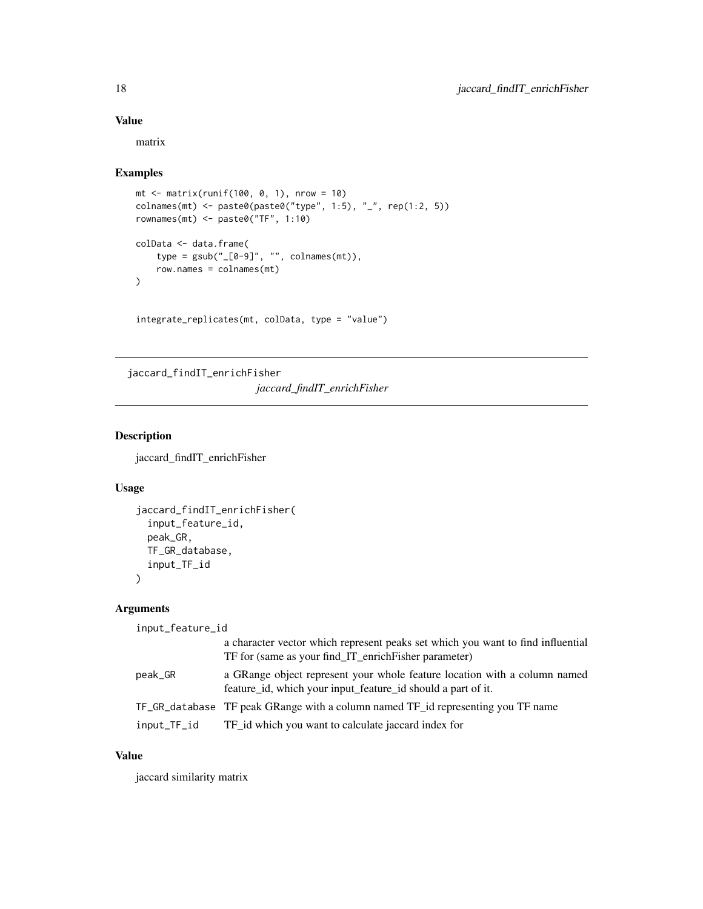#### Value

matrix

#### Examples

```
mt < - matrix(runif(100, 0, 1), nrow = 10)
colnames(mt) <- paste0(paste0("type", 1:5), "_", rep(1:2, 5))
rownames(mt) <- paste0("TF", 1:10)
colData <- data.frame(
    type = gsub("[0-9]", "", columns(mt)),row.names = colnames(mt)
\lambda
```
integrate\_replicates(mt, colData, type = "value")

jaccard\_findIT\_enrichFisher

*jaccard\_findIT\_enrichFisher*

# **Description**

jaccard\_findIT\_enrichFisher

#### Usage

```
jaccard_findIT_enrichFisher(
  input_feature_id,
 peak_GR,
 TF_GR_database,
 input_TF_id
)
```
#### Arguments

```
input_feature_id
                 a character vector which represent peaks set which you want to find influential
                 TF for (same as your find_IT_enrichFisher parameter)
peak_GR a GRange object represent your whole feature location with a column named
                 feature_id, which your input_feature_id should a part of it.
TF_GR_database TF peak GRange with a column named TF_id representing you TF name
input_TF_id TF_id which you want to calculate jaccard index for
```
# Value

jaccard similarity matrix

<span id="page-17-0"></span>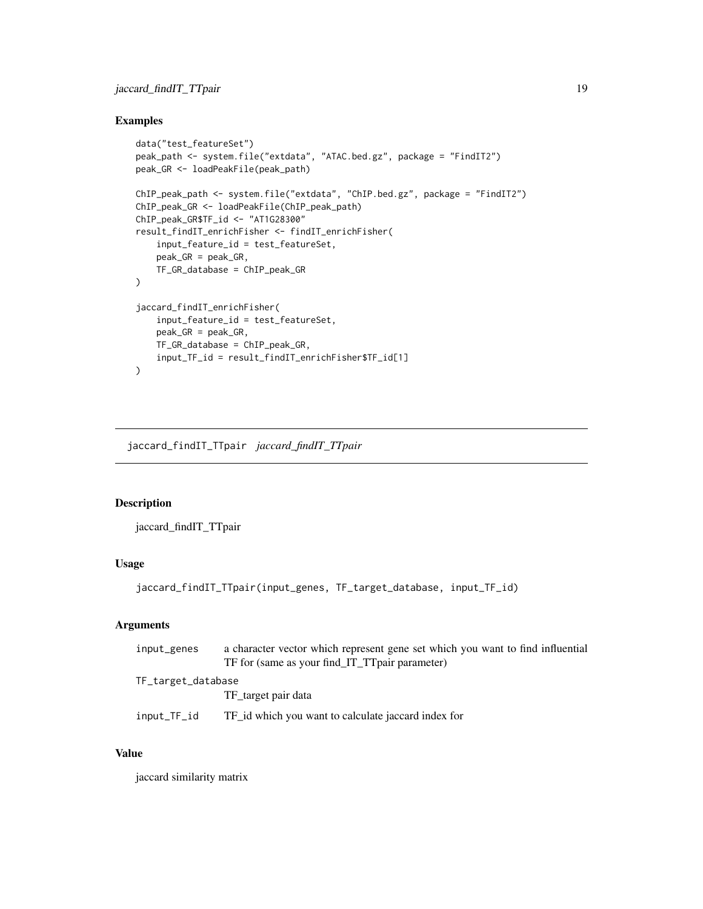#### <span id="page-18-0"></span>Examples

```
data("test_featureSet")
peak_path <- system.file("extdata", "ATAC.bed.gz", package = "FindIT2")
peak_GR <- loadPeakFile(peak_path)
ChIP_peak_path <- system.file("extdata", "ChIP.bed.gz", package = "FindIT2")
ChIP_peak_GR <- loadPeakFile(ChIP_peak_path)
ChIP_peak_GR$TF_id <- "AT1G28300"
result_findIT_enrichFisher <- findIT_enrichFisher(
    input_feature_id = test_featureSet,
    peak_GR = peak_GR,
    TF_GR_database = ChIP_peak_GR
)
jaccard_findIT_enrichFisher(
    input_feature_id = test_featureSet,
    peak_GR = peak_GR,
   TF_GR_database = ChIP_peak_GR,
    input_TF_id = result_findIT_enrichFisher$TF_id[1]
)
```
jaccard\_findIT\_TTpair *jaccard\_findIT\_TTpair*

#### Description

jaccard\_findIT\_TTpair

#### Usage

```
jaccard_findIT_TTpair(input_genes, TF_target_database, input_TF_id)
```
# Arguments

| input_genes        | a character vector which represent gene set which you want to find influential<br>TF for (same as your find_IT_TTpair parameter) |
|--------------------|----------------------------------------------------------------------------------------------------------------------------------|
| TF_target_database |                                                                                                                                  |
|                    | TF_target pair data                                                                                                              |
| input_TF_id        | TF id which you want to calculate jaccard index for                                                                              |

# Value

jaccard similarity matrix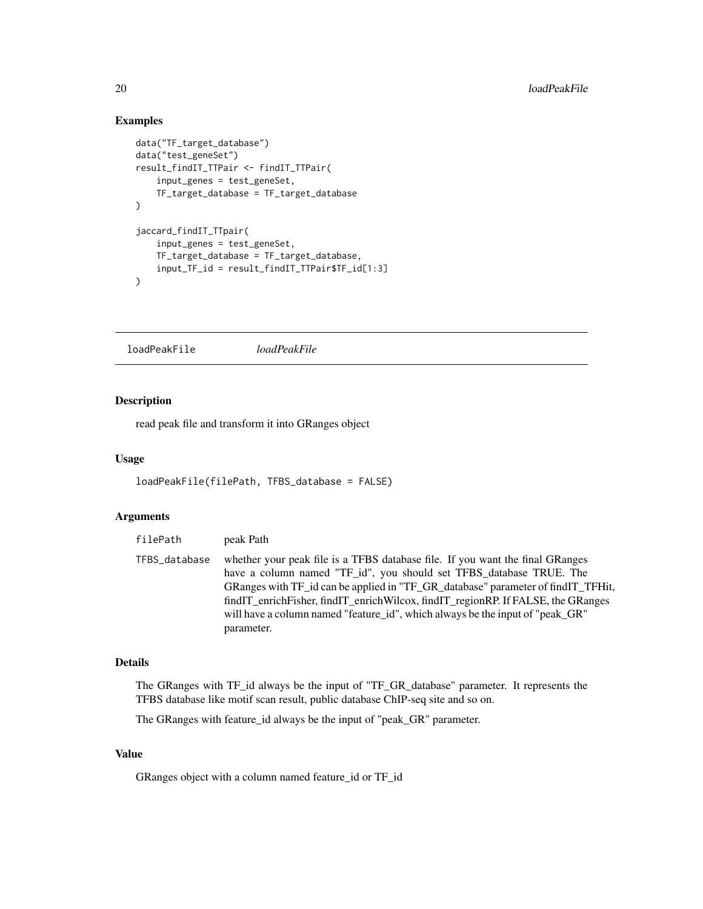### Examples

```
data("TF_target_database")
data("test_geneSet")
result_findIT_TTPair <- findIT_TTPair(
    input_genes = test_geneSet,
    TF_target_database = TF_target_database
)
jaccard_findIT_TTpair(
    input_genes = test_geneSet,
    TF_target_database = TF_target_database,
    input_TF_id = result_findIT_TTPair$TF_id[1:3]
\mathcal{L}
```
loadPeakFile *loadPeakFile*

# Description

read peak file and transform it into GRanges object

#### Usage

```
loadPeakFile(filePath, TFBS_database = FALSE)
```
#### Arguments

| filePath      | peak Path                                                                                                                                                                                                                                                                                                                                                                                                                    |
|---------------|------------------------------------------------------------------------------------------------------------------------------------------------------------------------------------------------------------------------------------------------------------------------------------------------------------------------------------------------------------------------------------------------------------------------------|
| TFBS_database | whether your peak file is a TFBS database file. If you want the final GRanges<br>have a column named "TF_id", you should set TFBS_database TRUE. The<br>GRanges with TF_id can be applied in "TF_GR_database" parameter of find IT_TFHit,<br>findIT_enrichFisher, findIT_enrichWilcox, findIT_regionRP. If FALSE, the GRanges<br>will have a column named "feature_id", which always be the input of "peak_GR"<br>parameter. |

# Details

The GRanges with TF\_id always be the input of "TF\_GR\_database" parameter. It represents the TFBS database like motif scan result, public database ChIP-seq site and so on.

The GRanges with feature\_id always be the input of "peak\_GR" parameter.

#### Value

GRanges object with a column named feature\_id or TF\_id

<span id="page-19-0"></span>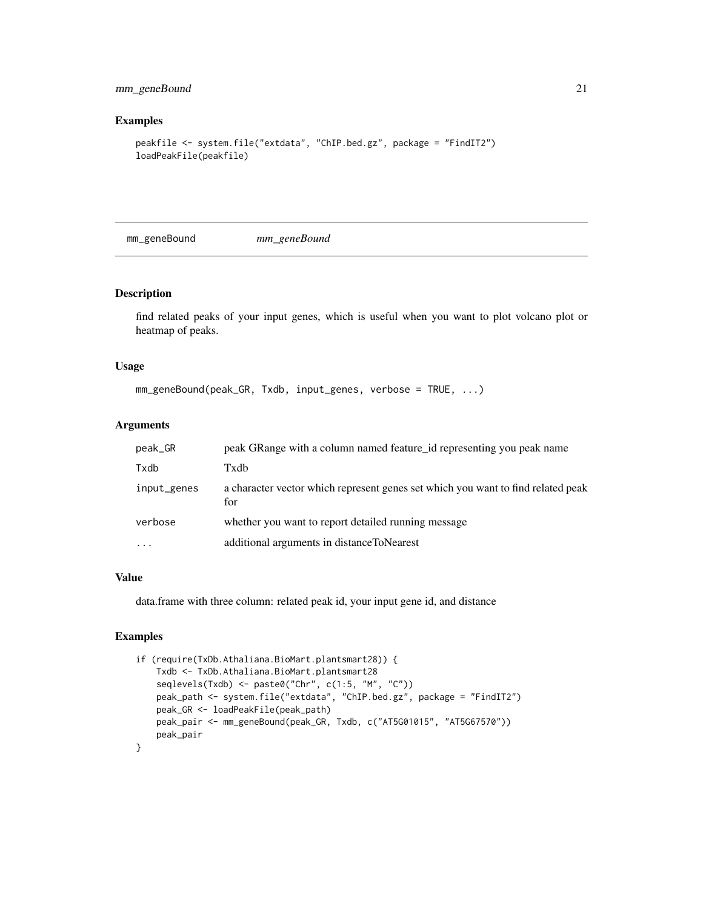# <span id="page-20-0"></span>mm\_geneBound 21

# Examples

```
peakfile <- system.file("extdata", "ChIP.bed.gz", package = "FindIT2")
loadPeakFile(peakfile)
```
mm\_geneBound *mm\_geneBound*

#### Description

find related peaks of your input genes, which is useful when you want to plot volcano plot or heatmap of peaks.

#### Usage

```
mm_geneBound(peak_GR, Txdb, input_genes, verbose = TRUE, ...)
```
# Arguments

| $peak_GR$   | peak GRange with a column named feature id representing you peak name                   |
|-------------|-----------------------------------------------------------------------------------------|
| Txdb        | Txdb                                                                                    |
| input_genes | a character vector which represent genes set which you want to find related peak<br>for |
| verbose     | whether you want to report detailed running message                                     |
| $\ddotsc$   | additional arguments in distance ToNearest                                              |

#### Value

data.frame with three column: related peak id, your input gene id, and distance

# Examples

```
if (require(TxDb.Athaliana.BioMart.plantsmart28)) {
    Txdb <- TxDb.Athaliana.BioMart.plantsmart28
    seqlevels(Txdb) <- paste0("Chr", c(1:5, "M", "C"))
   peak_path <- system.file("extdata", "ChIP.bed.gz", package = "FindIT2")
   peak_GR <- loadPeakFile(peak_path)
   peak_pair <- mm_geneBound(peak_GR, Txdb, c("AT5G01015", "AT5G67570"))
   peak_pair
}
```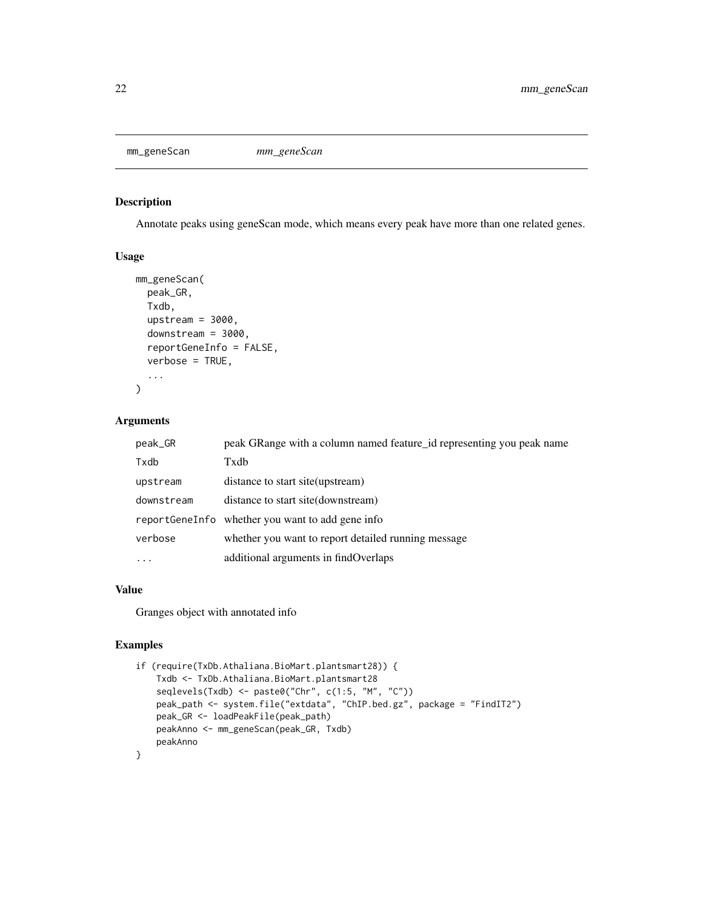<span id="page-21-0"></span>

# Description

Annotate peaks using geneScan mode, which means every peak have more than one related genes.

#### Usage

```
mm_geneScan(
  peak_GR,
  Txdb,
  upstream = 3000,
  downstream = 3000,
  reportGeneInfo = FALSE,
  verbose = TRUE,
  ...
)
```
#### Arguments

| peak_GR    | peak GRange with a column named feature id representing you peak name |
|------------|-----------------------------------------------------------------------|
| Txdb       | Txdb                                                                  |
| upstream   | distance to start site (upstream)                                     |
| downstream | distance to start site (downstream)                                   |
|            | reportGeneInfo whether you want to add gene info                      |
| verbose    | whether you want to report detailed running message                   |
| .          | additional arguments in findOverlaps                                  |

## Value

Granges object with annotated info

# Examples

```
if (require(TxDb.Athaliana.BioMart.plantsmart28)) {
   Txdb <- TxDb.Athaliana.BioMart.plantsmart28
    seqlevels(Txdb) <- paste0("Chr", c(1:5, "M", "C"))
   peak_path <- system.file("extdata", "ChIP.bed.gz", package = "FindIT2")
   peak_GR <- loadPeakFile(peak_path)
   peakAnno <- mm_geneScan(peak_GR, Txdb)
   peakAnno
}
```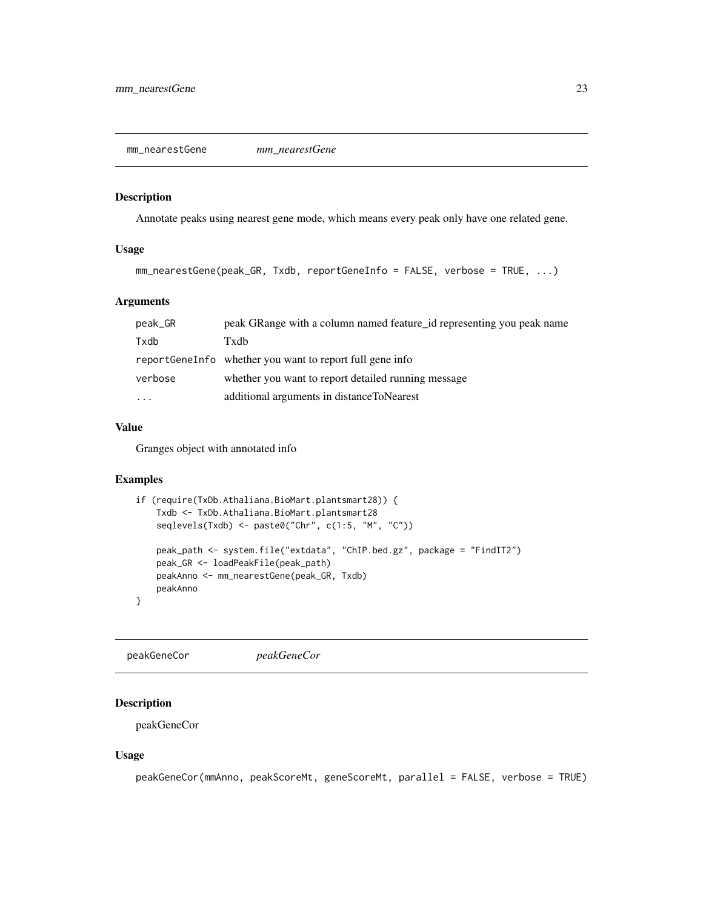<span id="page-22-0"></span>mm\_nearestGene *mm\_nearestGene*

#### Description

Annotate peaks using nearest gene mode, which means every peak only have one related gene.

#### Usage

```
mm_nearestGene(peak_GR, Txdb, reportGeneInfo = FALSE, verbose = TRUE, ...)
```
#### Arguments

| peak GRange with a column named feature id representing you peak name |
|-----------------------------------------------------------------------|
| Txdb                                                                  |
| report Gene Info whether you want to report full gene info            |
| whether you want to report detailed running message                   |
| additional arguments in distance ToNearest                            |
|                                                                       |

#### Value

Granges object with annotated info

# Examples

```
if (require(TxDb.Athaliana.BioMart.plantsmart28)) {
   Txdb <- TxDb.Athaliana.BioMart.plantsmart28
   seqlevels(Txdb) <- paste0("Chr", c(1:5, "M", "C"))
   peak_path <- system.file("extdata", "ChIP.bed.gz", package = "FindIT2")
   peak_GR <- loadPeakFile(peak_path)
   peakAnno <- mm_nearestGene(peak_GR, Txdb)
   peakAnno
}
```
peakGeneCor *peakGeneCor*

# Description

peakGeneCor

#### Usage

peakGeneCor(mmAnno, peakScoreMt, geneScoreMt, parallel = FALSE, verbose = TRUE)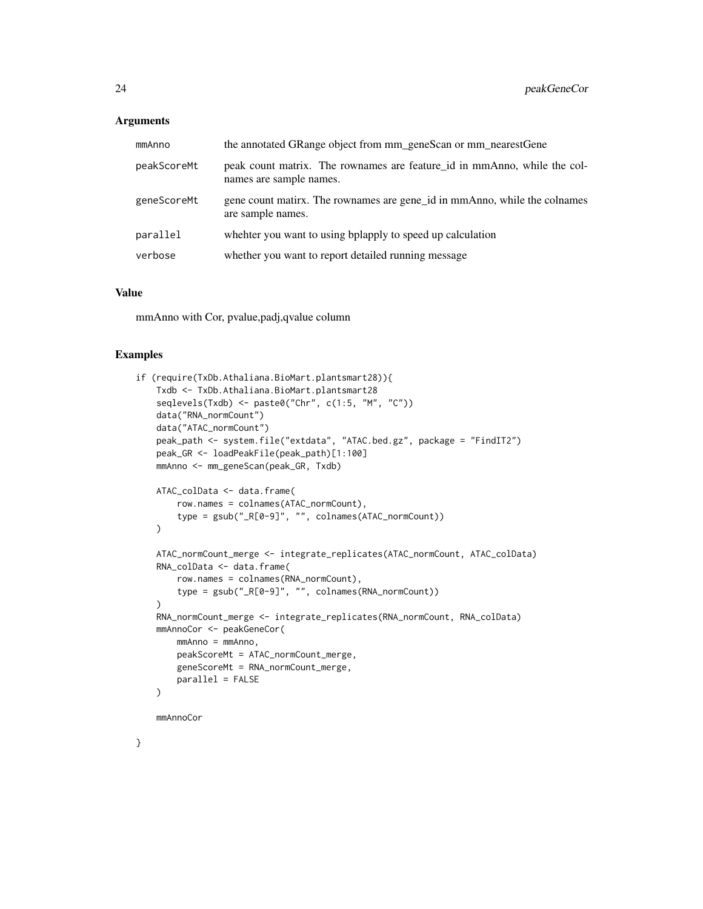#### Arguments

| mmAnno      | the annotated GRange object from mm_geneScan or mm_nearestGene                                      |
|-------------|-----------------------------------------------------------------------------------------------------|
| peakScoreMt | peak count matrix. The rownames are feature id in mmAnno, while the col-<br>names are sample names. |
| geneScoreMt | gene count matirx. The rownames are gene id in mmAnno, while the colnames<br>are sample names.      |
| parallel    | whehter you want to using bplapply to speed up calculation                                          |
| verbose     | whether you want to report detailed running message                                                 |

#### Value

mmAnno with Cor, pvalue,padj,qvalue column

#### Examples

}

```
if (require(TxDb.Athaliana.BioMart.plantsmart28)){
   Txdb <- TxDb.Athaliana.BioMart.plantsmart28
    seqlevels(Txdb) <- paste0("Chr", c(1:5, "M", "C"))
   data("RNA_normCount")
   data("ATAC_normCount")
   peak_path <- system.file("extdata", "ATAC.bed.gz", package = "FindIT2")
   peak_GR <- loadPeakFile(peak_path)[1:100]
   mmAnno <- mm_geneScan(peak_GR, Txdb)
   ATAC_colData <- data.frame(
        row.names = colnames(ATAC_normCount),
        type = gsub("_R[0-9]", "", colnames(ATAC_normCount))
    \mathcal{L}ATAC_normCount_merge <- integrate_replicates(ATAC_normCount, ATAC_colData)
    RNA_colData <- data.frame(
        row.names = colnames(RNA_normCount),
        type = gsub("_R[0-9]", "", colnames(RNA_normCount))
    \lambdaRNA_normCount_merge <- integrate_replicates(RNA_normCount, RNA_colData)
    mmAnnoCor <- peakGeneCor(
       mmAnno = mmAnno,
        peakScoreMt = ATAC_normCount_merge,
        geneScoreMt = RNA_normCount_merge,
       parallel = FALSE
    \lambdammAnnoCor
```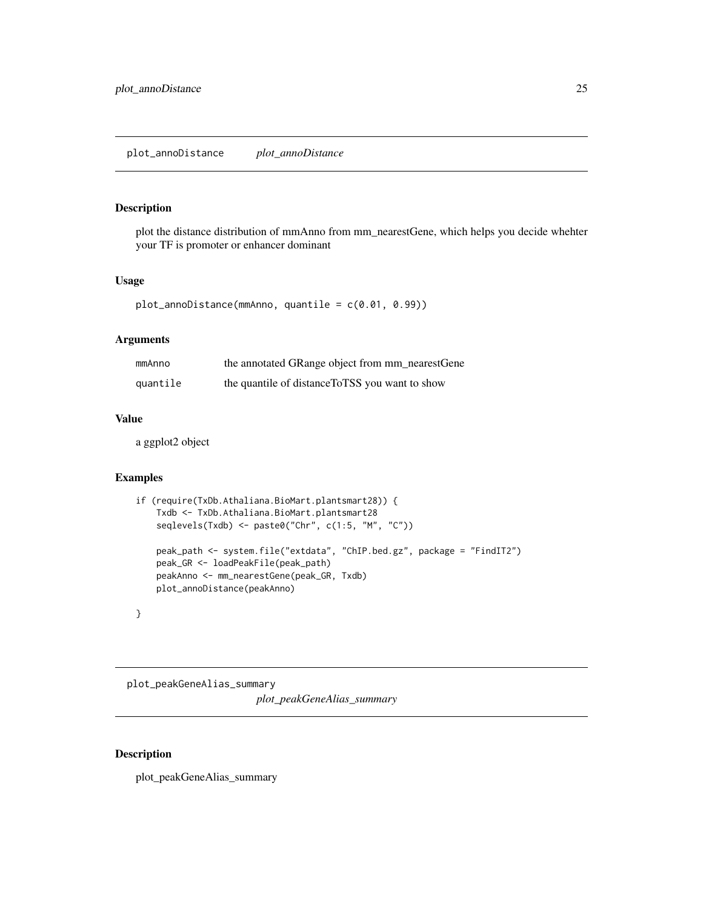<span id="page-24-0"></span>plot\_annoDistance *plot\_annoDistance*

# Description

plot the distance distribution of mmAnno from mm\_nearestGene, which helps you decide whehter your TF is promoter or enhancer dominant

#### Usage

```
plot_annoDistance(mmAnno, quantile = c(0.01, 0.99))
```
### Arguments

| mmAnno   | the annotated GRange object from mm_nearestGene |
|----------|-------------------------------------------------|
| quantile | the quantile of distance ToTSS you want to show |

### Value

a ggplot2 object

# Examples

```
if (require(TxDb.Athaliana.BioMart.plantsmart28)) {
   Txdb <- TxDb.Athaliana.BioMart.plantsmart28
   seqlevels(Txdb) <- paste0("Chr", c(1:5, "M", "C"))
   peak_path <- system.file("extdata", "ChIP.bed.gz", package = "FindIT2")
   peak_GR <- loadPeakFile(peak_path)
   peakAnno <- mm_nearestGene(peak_GR, Txdb)
   plot_annoDistance(peakAnno)
```

```
}
```
plot\_peakGeneAlias\_summary *plot\_peakGeneAlias\_summary*

# Description

plot\_peakGeneAlias\_summary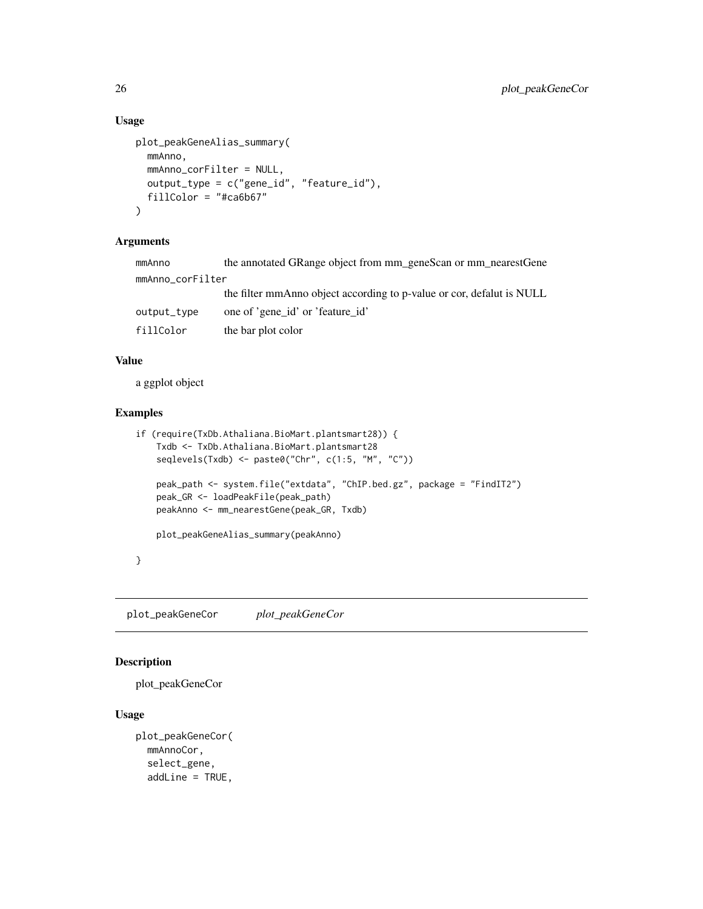# Usage

```
plot_peakGeneAlias_summary(
 mmAnno,
  mmAnno_corFilter = NULL,
 output_type = c("gene_id", "feature_id"),
  fillColor = "#ca6b67"
)
```
#### Arguments

| mmAnno           | the annotated GRange object from mm_geneScan or mm_nearestGene        |  |
|------------------|-----------------------------------------------------------------------|--|
| mmAnno_corFilter |                                                                       |  |
|                  | the filter mmAnno object according to p-value or cor, defalut is NULL |  |
| output_type      | one of 'gene id' or 'feature id'                                      |  |
| fillColor        | the bar plot color                                                    |  |
|                  |                                                                       |  |

# Value

a ggplot object

# Examples

```
if (require(TxDb.Athaliana.BioMart.plantsmart28)) {
   Txdb <- TxDb.Athaliana.BioMart.plantsmart28
    seqlevels(Txdb) <- paste0("Chr", c(1:5, "M", "C"))
    peak_path <- system.file("extdata", "ChIP.bed.gz", package = "FindIT2")
    peak_GR <- loadPeakFile(peak_path)
   peakAnno <- mm_nearestGene(peak_GR, Txdb)
   plot_peakGeneAlias_summary(peakAnno)
}
```
plot\_peakGeneCor *plot\_peakGeneCor*

# Description

```
plot_peakGeneCor
```
# Usage

```
plot_peakGeneCor(
 mmAnnoCor,
  select_gene,
  addLine = TRUE,
```
<span id="page-25-0"></span>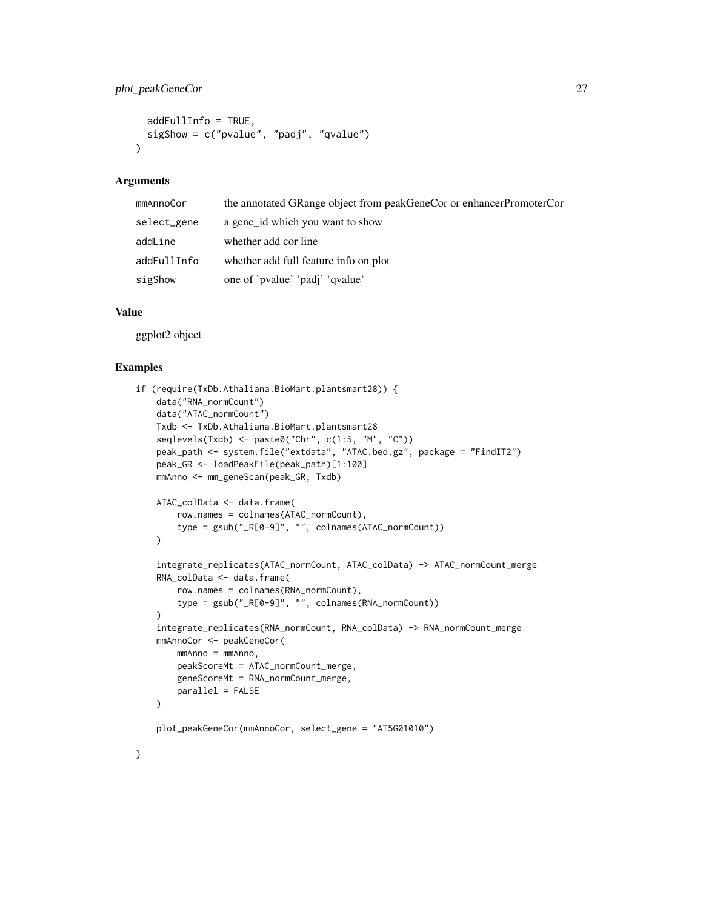# plot\_peakGeneCor 27

```
addFullInfo = TRUE,
  sigShow = c("pvalue", "padj", "qvalue")
\lambda
```
#### Arguments

| mmAnnoCor   | the annotated GRange object from peakGeneCor or enhancerPromoterCor |
|-------------|---------------------------------------------------------------------|
| select_gene | a gene_id which you want to show                                    |
| addLine     | whether add cor line                                                |
| addFullInfo | whether add full feature info on plot                               |
| sigShow     | one of 'pvalue' 'padj' 'qvalue'                                     |

#### Value

ggplot2 object

# Examples

}

```
if (require(TxDb.Athaliana.BioMart.plantsmart28)) {
   data("RNA_normCount")
   data("ATAC_normCount")
   Txdb <- TxDb.Athaliana.BioMart.plantsmart28
   seqlevels(Txdb) <- paste0("Chr", c(1:5, "M", "C"))
   peak_path <- system.file("extdata", "ATAC.bed.gz", package = "FindIT2")
   peak_GR <- loadPeakFile(peak_path)[1:100]
   mmAnno <- mm_geneScan(peak_GR, Txdb)
   ATAC_colData <- data.frame(
        row.names = colnames(ATAC_normCount),
        type = gsub("_R[0-9]", "", colnames(ATAC_normCount))
   \lambdaintegrate_replicates(ATAC_normCount, ATAC_colData) -> ATAC_normCount_merge
   RNA_colData <- data.frame(
        row.names = colnames(RNA_normCount),
        type = gsub("_R[0-9]", "", colnames(RNA_normCount))
   \lambdaintegrate_replicates(RNA_normCount, RNA_colData) -> RNA_normCount_merge
   mmAnnoCor <- peakGeneCor(
       mmAnno = mmAnno,
       peakScoreMt = ATAC_normCount_merge,
       geneScoreMt = RNA_normCount_merge,
       parallel = FALSE
   )
   plot_peakGeneCor(mmAnnoCor, select_gene = "AT5G01010")
```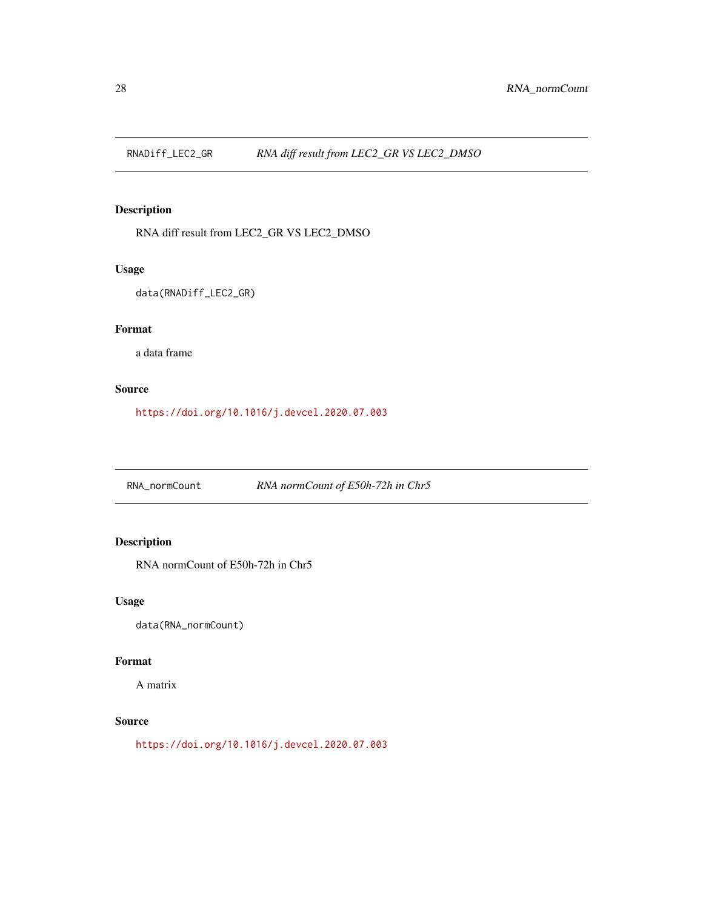<span id="page-27-0"></span>

# Description

RNA diff result from LEC2\_GR VS LEC2\_DMSO

# Usage

data(RNADiff\_LEC2\_GR)

# Format

a data frame

# Source

<https://doi.org/10.1016/j.devcel.2020.07.003>

RNA\_normCount *RNA normCount of E50h-72h in Chr5*

# Description

RNA normCount of E50h-72h in Chr5

# Usage

data(RNA\_normCount)

# Format

A matrix

# Source

<https://doi.org/10.1016/j.devcel.2020.07.003>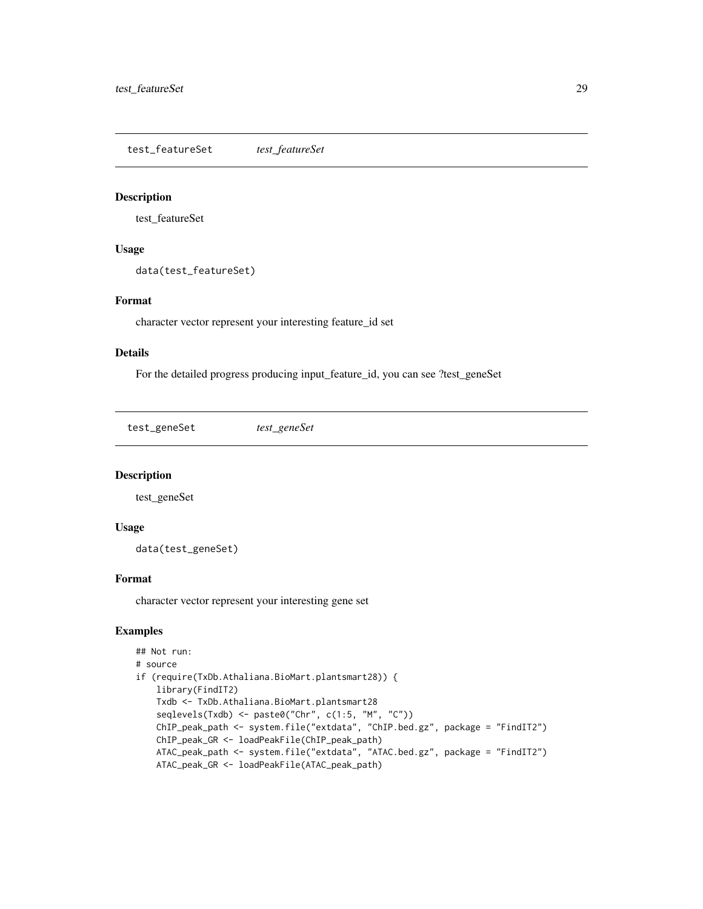<span id="page-28-0"></span>test\_featureSet *test\_featureSet*

#### Description

test\_featureSet

#### Usage

data(test\_featureSet)

# Format

character vector represent your interesting feature\_id set

#### Details

For the detailed progress producing input\_feature\_id, you can see ?test\_geneSet

test\_geneSet *test\_geneSet*

#### Description

test\_geneSet

#### Usage

data(test\_geneSet)

#### Format

character vector represent your interesting gene set

# Examples

```
## Not run:
# source
if (require(TxDb.Athaliana.BioMart.plantsmart28)) {
   library(FindIT2)
   Txdb <- TxDb.Athaliana.BioMart.plantsmart28
    seqlevels(Txdb) <- paste0("Chr", c(1:5, "M", "C"))
    ChIP_peak_path <- system.file("extdata", "ChIP.bed.gz", package = "FindIT2")
   ChIP_peak_GR <- loadPeakFile(ChIP_peak_path)
   ATAC_peak_path <- system.file("extdata", "ATAC.bed.gz", package = "FindIT2")
   ATAC_peak_GR <- loadPeakFile(ATAC_peak_path)
```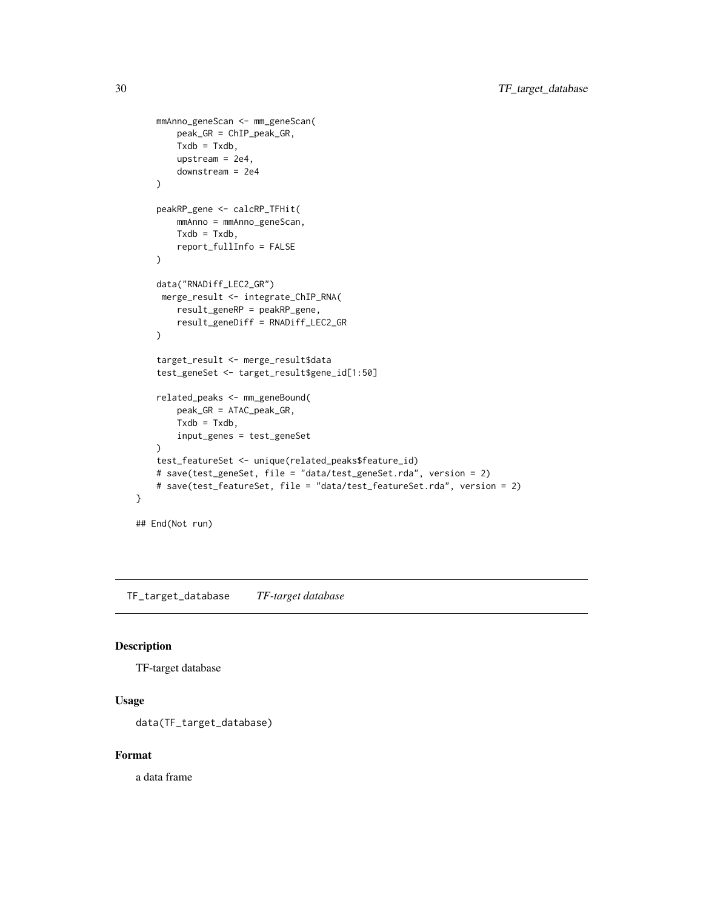```
mmAnno_geneScan <- mm_geneScan(
        peak_GR = ChIP_peak_GR,
        Txdb = Txdb,upstream = 2e4,
        downstream = 2e4
    \mathcal{L}peakRP_gene <- calcRP_TFHit(
        mmAnno = mmAnno_geneScan,
        Txdb = Txdb,report_fullInfo = FALSE
    \mathcal{L}data("RNADiff_LEC2_GR")
    merge_result <- integrate_ChIP_RNA(
        result_geneRP = peakRP_gene,
        result_geneDiff = RNADiff_LEC2_GR
    \mathcal{L}target_result <- merge_result$data
    test_geneSet <- target_result$gene_id[1:50]
    related_peaks <- mm_geneBound(
        peak_GR = ATAC_peak_GR,
        Txdb = Txdb,input_genes = test_geneSet
    \mathcal{L}test_featureSet <- unique(related_peaks$feature_id)
    # save(test_geneSet, file = "data/test_geneSet.rda", version = 2)
    # save(test_featureSet, file = "data/test_featureSet.rda", version = 2)
## End(Not run)
```
TF\_target\_database *TF-target database*

### Description

}

TF-target database

# Usage

```
data(TF_target_database)
```
#### Format

a data frame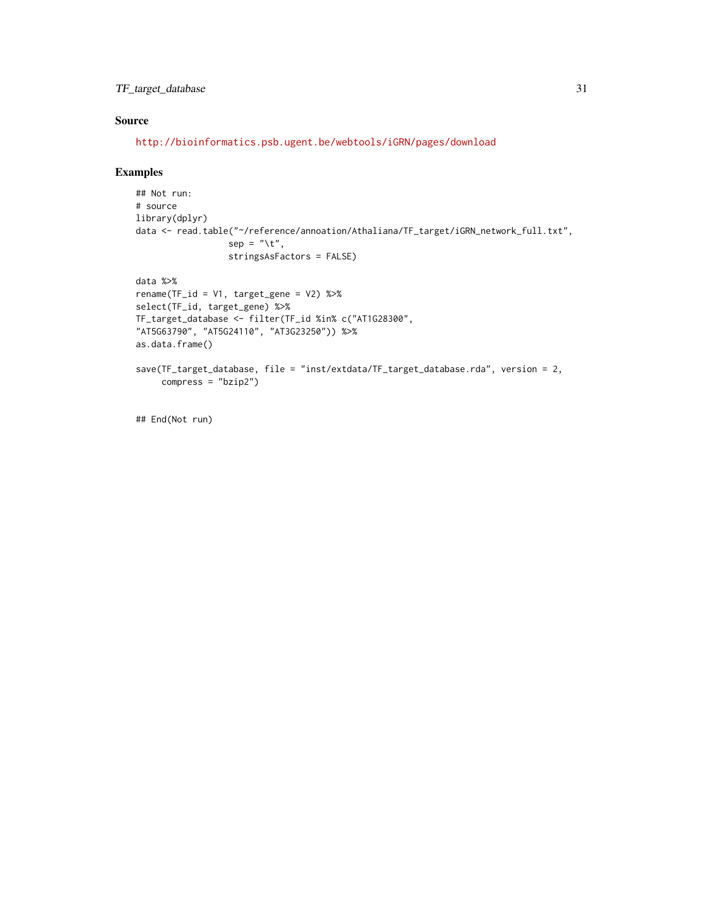# TF\_target\_database 31

# Source

<http://bioinformatics.psb.ugent.be/webtools/iGRN/pages/download>

### Examples

```
## Not run:
# source
library(dplyr)
data <- read.table("~/reference/annoation/Athaliana/TF_target/iGRN_network_full.txt",
                  sep = "\t",
                  stringsAsFactors = FALSE)
data %>%
rename(TF_id = V1, target_gene = V2) %>%
select(TF_id, target_gene) %>%
TF_target_database <- filter(TF_id %in% c("AT1G28300",
"AT5G63790", "AT5G24110", "AT3G23250")) %>%
as.data.frame()
save(TF_target_database, file = "inst/extdata/TF_target_database.rda", version = 2,
     compress = "bzip2")
```
## End(Not run)